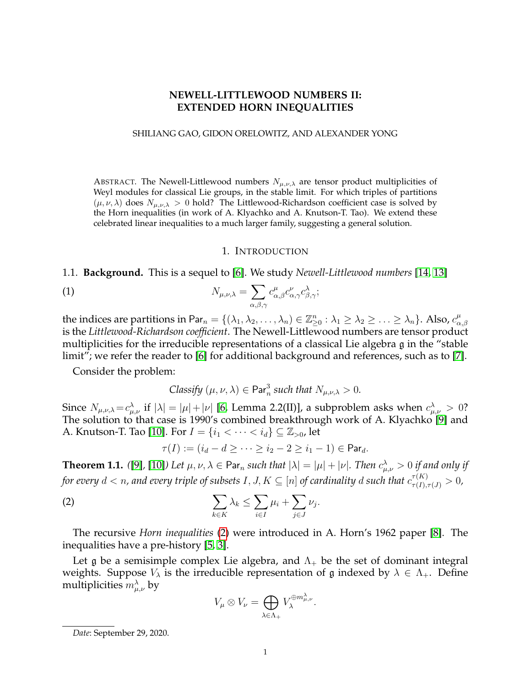# **NEWELL-LITTLEWOOD NUMBERS II: EXTENDED HORN INEQUALITIES**

### SHILIANG GAO, GIDON ORELOWITZ, AND ALEXANDER YONG

ABSTRACT. The Newell-Littlewood numbers  $N_{\mu,\nu,\lambda}$  are tensor product multiplicities of Weyl modules for classical Lie groups, in the stable limit. For which triples of partitions  $(\mu, \nu, \lambda)$  does  $N_{\mu, \nu, \lambda} > 0$  hold? The Littlewood-Richardson coefficient case is solved by the Horn inequalities (in work of A. Klyachko and A. Knutson-T. Tao). We extend these celebrated linear inequalities to a much larger family, suggesting a general solution.

#### <span id="page-0-1"></span>1. INTRODUCTION

1.1. **Background.** This is a sequel to [\[6\]](#page-9-0). We study *Newell-Littlewood numbers* [\[14,](#page-10-0) [13\]](#page-10-1)

(1) 
$$
N_{\mu,\nu,\lambda} = \sum_{\alpha,\beta,\gamma} c_{\alpha,\beta}^{\mu} c_{\alpha,\gamma}^{\nu} c_{\beta,\gamma}^{\lambda};
$$

the indices are partitions in Par $_n=\{(\lambda_1,\lambda_2,\ldots,\lambda_n)\in\mathbb{Z}_{\ge0}^n:\lambda_1\ge\lambda_2\ge\ldots\ge\lambda_n\}.$  Also,  $c_\alpha^\mu$  $\alpha, \beta$ is the *Littlewood-Richardson coefficient*. The Newell-Littlewood numbers are tensor product multiplicities for the irreducible representations of a classical Lie algebra g in the "stable limit"; we refer the reader to [\[6\]](#page-9-0) for additional background and references, such as to [\[7\]](#page-9-1).

Consider the problem:

Classify 
$$
(\mu, \nu, \lambda) \in \text{Par}_n^3
$$
 such that  $N_{\mu, \nu, \lambda} > 0$ .

Since  $N_{\mu,\nu,\lambda} = c_{\mu,\nu}^{\lambda}$  if  $|\lambda| = |\mu| + |\nu|$  [\[6,](#page-9-0) Lemma 2.2(II)], a subproblem asks when  $c_{\mu,\nu}^{\lambda} > 0$ ? The solution to that case is 1990's combined breakthrough work of A. Klyachko [\[9\]](#page-9-2) and A. Knutson-T. Tao [\[10\]](#page-10-2). For  $I = \{i_1 < \cdots < i_d\} \subseteq \mathbb{Z}_{>0}$ , let

<span id="page-0-0"></span>
$$
\tau(I) := (i_d - d \ge \cdots \ge i_2 - 2 \ge i_1 - 1) \in \mathsf{Par}_d.
$$

<span id="page-0-2"></span>**Theorem 1.1.** ([\[9\]](#page-9-2), [\[10\]](#page-10-2)) Let  $\mu, \nu, \lambda \in \mathsf{Par}_n$  such that  $|\lambda| = |\mu| + |\nu|$ . Then  $c_{\mu,\nu}^{\lambda} > 0$  if and only if for every  $d < n$ , and every triple of subsets  $I,J,K \subseteq [n]$  of cardinality  $d$  such that  $c^{\tau(K)}_{\tau(I),\tau(J)} > 0$ ,

(2) 
$$
\sum_{k \in K} \lambda_k \leq \sum_{i \in I} \mu_i + \sum_{j \in J} \nu_j.
$$

The recursive *Horn inequalities* [\(2\)](#page-0-0) were introduced in A. Horn's 1962 paper [\[8\]](#page-9-3). The inequalities have a pre-history [\[5,](#page-9-4) [3\]](#page-9-5).

Let g be a semisimple complex Lie algebra, and  $\Lambda_{+}$  be the set of dominant integral weights. Suppose  $V_{\lambda}$  is the irreducible representation of g indexed by  $\lambda \in \Lambda_{+}$ . Define multiplicities  $m_{\mu,\nu}^{\lambda}$  by

$$
V_{\mu} \otimes V_{\nu} = \bigoplus_{\lambda \in \Lambda_+} V_{\lambda}^{\oplus m_{\mu,\nu}^{\lambda}}.
$$

*Date*: September 29, 2020.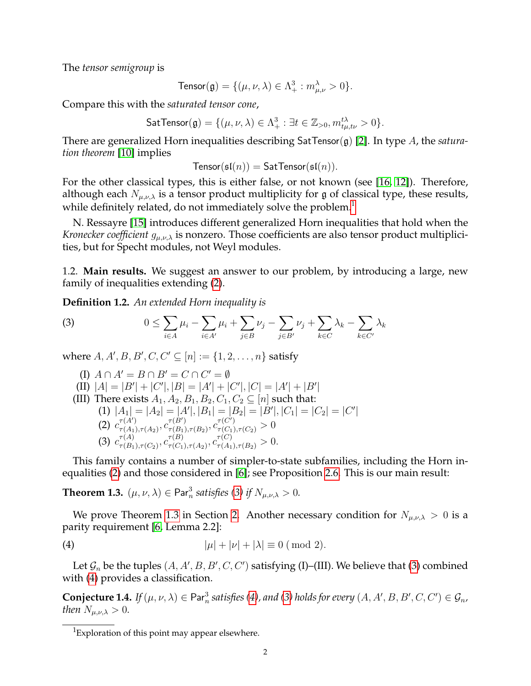The *tensor semigroup* is

$$
\text{Tensor}(\mathfrak{g}) = \{ (\mu, \nu, \lambda) \in \Lambda^3_+ : m_{\mu, \nu}^{\lambda} > 0 \}.
$$

Compare this with the *saturated tensor cone*,

$$
\mathsf{SatTensor}(\mathfrak{g}) = \{(\mu, \nu, \lambda) \in \Lambda^3_+ : \exists t \in \mathbb{Z}_{>0}, m_{t\mu, t\nu}^{t\lambda} > 0\}.
$$

There are generalized Horn inequalities describing SatTensor(g) [\[2\]](#page-9-6). In type A, the *saturation theorem* [\[10\]](#page-10-2) implies

 $Tensor(sI(n)) = SatTensor(sI(n)).$ 

For the other classical types, this is either false, or not known (see [\[16,](#page-10-3) [12\]](#page-10-4)). Therefore, although each  $N_{\mu,\nu,\lambda}$  is a tensor product multiplicity for g of classical type, these results, while definitely related, do not immediately solve the problem.<sup>[1](#page-1-0)</sup>

N. Ressayre [\[15\]](#page-10-5) introduces different generalized Horn inequalities that hold when the *Kronecker coefficient*  $g_{\mu,\nu,\lambda}$  is nonzero. Those coefficients are also tensor product multiplicities, but for Specht modules, not Weyl modules.

1.2. **Main results.** We suggest an answer to our problem, by introducing a large, new family of inequalities extending [\(2\)](#page-0-0).

<span id="page-1-5"></span>**Definition 1.2.** *An extended Horn inequality is*

<span id="page-1-1"></span>(3) 
$$
0 \leq \sum_{i \in A} \mu_i - \sum_{i \in A'} \mu_i + \sum_{j \in B} \nu_j - \sum_{j \in B'} \nu_j + \sum_{k \in C'} \lambda_k - \sum_{k \in C'} \lambda_k
$$

where  $A, A', B, B', C, C' \subseteq [n] := \{1, 2, ..., n\}$  satisfy

(I)  $A \cap A' = B \cap B' = C \cap C' = \emptyset$ (II)  $|A| = |B'| + |C'|$ ,  $|B| = |A'| + |C'|$ ,  $|C| = |A'| + |B'|$ (III) There exists  $A_1, A_2, B_1, B_2, C_1, C_2 \subseteq [n]$  such that: (1)  $|A_1| = |A_2| = |A'|$ ,  $|B_1| = |B_2| = |B'|$ ,  $|C_1| = |C_2| = |C'|$ (2)  $c^{\tau(A')}_{\tau(A_1)}$  $\frac{\tau(A')}{\tau(A_1), \tau(A_2)}, \frac{\tau(B')}{\tau(B_1)}$  $\frac{\tau(B')}{\tau(B_1), \tau(B_2)}, c^{\tau(C')}_{\tau(C_1), \tau(C_2)}>0$ (3)  $c^{\tau(A)}_{\tau(B)}$  $\frac{\tau(A)}{\tau(B_1),\tau(C_2)}, \frac{\tau(B)}{C\tau(C_1)}$  $\tau^{(B)}_{\tau(C_1),\tau(A_2)}, c^{\tau(C)}_{\tau(A_1),\tau(B_2)} > 0.$ 

This family contains a number of simpler-to-state subfamilies, including the Horn inequalities [\(2\)](#page-0-0) and those considered in [\[6\]](#page-9-0); see Proposition [2.6.](#page-4-0) This is our main result:

<span id="page-1-2"></span>**Theorem 1.3.**  $(\mu, \nu, \lambda) \in \text{Par}_n^3$  satisfies [\(3\)](#page-1-1) if  $N_{\mu,\nu,\lambda} > 0$ .

We prove Theorem [1.3](#page-1-2) in Section [2.](#page-2-0) Another necessary condition for  $N_{\mu,\nu,\lambda} > 0$  is a parity requirement [\[6,](#page-9-0) Lemma 2.2]:

<span id="page-1-3"></span>
$$
|\mu| + |\nu| + |\lambda| \equiv 0 \pmod{2}.
$$

Let  $\mathcal{G}_n$  be the tuples  $(A, A', B, B', C, C')$  satisfying (I)–(III). We believe that [\(3\)](#page-1-1) combined with [\(4\)](#page-1-3) provides a classification.

<span id="page-1-4"></span>**Conjecture 1.4.** If  $(\mu, \nu, \lambda) \in \text{Par}_n^3$  satisfies [\(4\)](#page-1-3), and [\(3\)](#page-1-1) holds for every  $(A, A', B, B', C, C') \in \mathcal{G}_n$ , *then*  $N_{\mu,\nu,\lambda} > 0$ *.* 

<span id="page-1-0"></span><sup>&</sup>lt;sup>1</sup>Exploration of this point may appear elsewhere.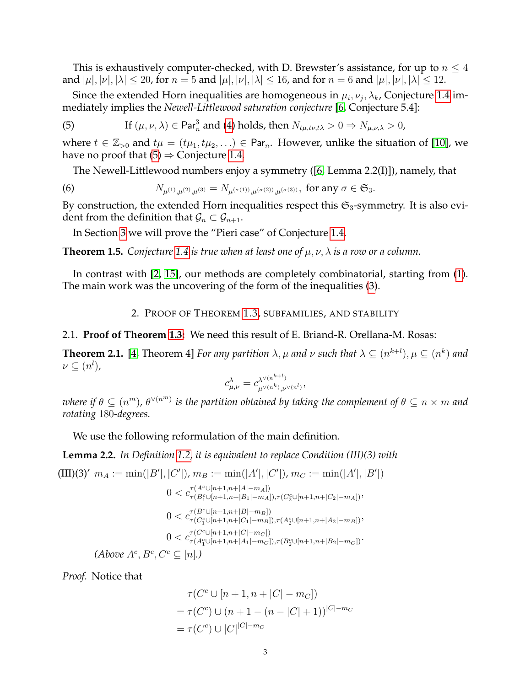This is exhaustively computer-checked, with D. Brewster's assistance, for up to  $n \leq 4$ and  $|\mu|, |\nu|, |\lambda| \leq 20$ , for  $n = 5$  and  $|\mu|, |\nu|, |\lambda| \leq 16$ , and for  $n = 6$  and  $|\mu|, |\nu|, |\lambda| \leq 12$ .

Since the extended Horn inequalities are homogeneous in  $\mu_i, \nu_j, \lambda_k$ , Conjecture [1.4](#page-1-4) immediately implies the *Newell-Littlewood saturation conjecture* [\[6,](#page-9-0) Conjecture 5.4]:

<span id="page-2-1"></span>(5) If 
$$
(\mu, \nu, \lambda) \in \text{Par}_n^3
$$
 and (4) holds, then  $N_{t\mu, t\nu, t\lambda} > 0 \Rightarrow N_{\mu, \nu, \lambda} > 0$ ,

where  $t \in \mathbb{Z}_{>0}$  and  $t\mu = (t\mu_1, t\mu_2, ...) \in \text{Par}_n$ . However, unlike the situation of [\[10\]](#page-10-2), we have no proof that  $(5) \Rightarrow$  $(5) \Rightarrow$  Conjecture [1.4.](#page-1-4)

<span id="page-2-4"></span>The Newell-Littlewood numbers enjoy a symmetry ([\[6,](#page-9-0) Lemma 2.2(I)]), namely, that

(6) 
$$
N_{\mu^{(1)},\mu^{(2)},\mu^{(3)}} = N_{\mu^{(\sigma(1))},\mu^{(\sigma(2))},\mu^{(\sigma(3))}}, \text{ for any } \sigma \in \mathfrak{S}_3.
$$

By construction, the extended Horn inequalities respect this  $\mathfrak{S}_3$ -symmetry. It is also evident from the definition that  $\mathcal{G}_n \subset \mathcal{G}_{n+1}$ .

In Section [3](#page-6-0) we will prove the "Pieri case" of Conjecture [1.4.](#page-1-4)

<span id="page-2-5"></span>**Theorem 1.5.** *Conjecture* [1.4](#page-1-4) *is true when at least one of*  $\mu, \nu, \lambda$  *is a row or a column.* 

In contrast with [\[2,](#page-9-6) [15\]](#page-10-5), our methods are completely combinatorial, starting from [\(1\)](#page-0-1). The main work was the uncovering of the form of the inequalities [\(3\)](#page-1-1).

2. PROOF OF THEOREM [1.3,](#page-1-2) SUBFAMILIES, AND STABILITY

## <span id="page-2-0"></span>2.1. **Proof of Theorem [1.3:](#page-1-2)** We need this result of E. Briand-R. Orellana-M. Rosas:

<span id="page-2-2"></span>**Theorem 2.1.** [\[4,](#page-9-7) Theorem 4] *For any partition*  $\lambda$ ,  $\mu$  and  $\nu$  such that  $\lambda \subseteq (n^{k+l})$ ,  $\mu \subseteq (n^k)$  and  $\nu \subseteq (n^l)$ ,

$$
c_{\mu,\nu}^{\lambda} = c_{\mu^{\vee(n^k)},\nu^{\vee(n^l)}}^{\lambda^{\vee(n^{k+l})}},
$$

where if  $\theta\subseteq (n^m)$ ,  $\theta^{\vee (n^m)}$  is the partition obtained by taking the complement of  $\theta\subseteq n\times m$  and *rotating* 180*-degrees.*

We use the following reformulation of the main definition.

<span id="page-2-3"></span>**Lemma 2.2.** *In Definition [1.2,](#page-1-5) it is equivalent to replace Condition (III)(3) with*

(III)(3)' 
$$
m_A := \min(|B'|, |C'|), m_B := \min(|A'|, |C'|), m_C := \min(|A'|, |B'|)
$$
  
\n $0 < c_{\tau(B_1^c \cup [n+1, n+|A|-m_A])}^{\tau(A \cup [n+1, n+|A|-m_A])}$   
\n $0 < c_{\tau(B_1^c \cup [n+1, n+|B|-m_B])}^{\tau(C_2^c \cup [n+1, n+|C_2|-m_A])}$ ,  
\n $0 < c_{\tau(C_1^c \cup [n+1, n+|C_1|-m_B]), \tau(A_2^c \cup [n+1, n+|A_2|-m_B])}$ ,  
\n $0 < c_{\tau(A_1^c \cup [n+1, n+|A_1|-m_C])}^{\tau(C_1^c \cup [n+1, n+|C|-m_B])}$ ,  
\n(Above  $A^c, B^c, C^c \subseteq [n]$ .)

*Proof.* Notice that

$$
\tau(C^{c} \cup [n+1, n+|C| - m_{C}])
$$
  
=  $\tau(C^{c}) \cup (n+1 - (n-|C|+1))^{|C| - m_{C}}$   
=  $\tau(C^{c}) \cup |C|^{|C| - m_{C}}$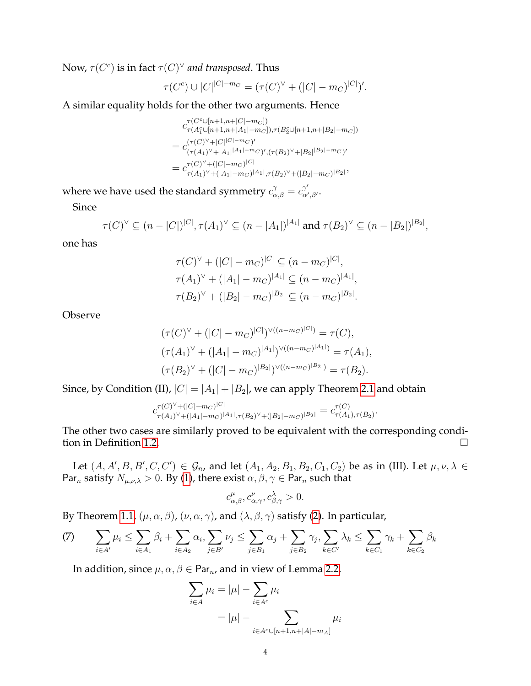Now,  $\tau(C^c)$  is in fact  $\tau(C)^\vee$  *and transposed*. Thus

$$
\tau(C^{c}) \cup |C|^{|C|-m_C} = (\tau(C)^{\vee} + (|C|-m_C)^{|C|})'.
$$

A similar equality holds for the other two arguments. Hence

 $c_{\tau(A^c \cup [n+1,n+|C|-m_C])}^{\tau(C^c \cup [n+1,n+|C|-m_C])}$  $\tau(A_1^c \cup [n+1,n+|A_1|-m_C]), \tau(B_2^c \cup [n+1,n+|B_2|-m_C])$  $= c^{(\tau(C)^{\vee} + |C|^{|C|-m_C})'}_{(\tau(A, \cdot) \vee + |A| \cdot |A| - |m)}$  $(\tau(A_1)^{\vee} + |A_1|^{|A_1|-m}C)'$ ,  $(\tau(B_2)^{\vee} + |B_2|^{|B_2|-m}C)'$  $= c^{\tau(C)^{\vee} + (|C| - m_C)^{|C|}}_{\tau(A, \vee) \cup (|A| + m_C)}$  $\tau(C)$ ' +(|C|−mc)' $\tau(A_1)^{\vee}$ +(|A<sub>1</sub>|−m<sub>C</sub>)<sup>|A</sup>1<sup>|</sup>, $\tau(B_2)^{\vee}$ +(|B<sub>2</sub>|−m<sub>C</sub>)<sup>|B</sup>2<sup>|</sup>'

where we have used the standard symmetry  $c_{\alpha,\beta}^{\gamma}=c_{\alpha'}^{\gamma'}$  $_{\alpha',\beta'}^\gamma.$ 

Since

$$
\tau(C)^{\vee} \subseteq (n-|C|)^{|C|}, \tau(A_1)^{\vee} \subseteq (n-|A_1|)^{|A_1|} \text{ and } \tau(B_2)^{\vee} \subseteq (n-|B_2|)^{|B_2|},
$$

one has

$$
\tau(C)^{\vee} + (|C| - m_C)^{|C|} \subseteq (n - m_C)^{|C|},
$$
  
\n
$$
\tau(A_1)^{\vee} + (|A_1| - m_C)^{|A_1|} \subseteq (n - m_C)^{|A_1|},
$$
  
\n
$$
\tau(B_2)^{\vee} + (|B_2| - m_C)^{|B_2|} \subseteq (n - m_C)^{|B_2|}.
$$

Observe

$$
(\tau(C)^{\vee} + (|C| - m_C)^{|C|})^{\vee((n - m_C)^{|C|})} = \tau(C),
$$
  
\n
$$
(\tau(A_1)^{\vee} + (|A_1| - m_C)^{|A_1|})^{\vee((n - m_C)^{|A_1|})} = \tau(A_1),
$$
  
\n
$$
(\tau(B_2)^{\vee} + (|C| - m_C)^{|B_2|})^{\vee((n - m_C)^{|B_2|})} = \tau(B_2).
$$

Since, by Condition (II),  $|C| = |A_1| + |B_2|$ , we can apply Theorem [2.1](#page-2-2) and obtain

$$
c_{\tau(A_1)^{\vee} + (|A_1| - m_C)^{|C|}}^{\tau(C)^{\vee} + (|C| - m_C)^{|C|}} = c_{\tau(A_1), \tau(B_2)}^{\tau(C)^{\vee} + (|C| - m_C)^{|D|}} = c_{\tau(A_1), \tau(B_2)}^{\tau(C)^{\vee} + (|C| - m_C)^{|C|}}.
$$

The other two cases are similarly proved to be equivalent with the corresponding condition in Definition [1.2.](#page-1-5)

Let  $(A, A', B, B', C, C') \in \mathcal{G}_n$ , and let  $(A_1, A_2, B_1, B_2, C_1, C_2)$  be as in (III). Let  $\mu, \nu, \lambda \in$ Par<sub>n</sub> satisfy  $N_{\mu,\nu,\lambda} > 0$ . By [\(1\)](#page-0-1), there exist  $\alpha, \beta, \gamma \in \text{Par}_n$  such that

$$
c_{\alpha,\beta}^{\mu}, c_{\alpha,\gamma}^{\nu}, c_{\beta,\gamma}^{\lambda} > 0.
$$

By Theorem [1.1,](#page-0-2)  $(\mu, \alpha, \beta)$ ,  $(\nu, \alpha, \gamma)$ , and  $(\lambda, \beta, \gamma)$  satisfy [\(2\)](#page-0-0). In particular,

(7) 
$$
\sum_{i\in A'}\mu_i \leq \sum_{i\in A_1}\beta_i + \sum_{i\in A_2}\alpha_i, \sum_{j\in B'}\nu_j \leq \sum_{j\in B_1}\alpha_j + \sum_{j\in B_2}\gamma_j, \sum_{k\in C'}\lambda_k \leq \sum_{k\in C_1}\gamma_k + \sum_{k\in C_2}\beta_k
$$

In addition, since  $\mu, \alpha, \beta \in \text{Par}_n$ , and in view of Lemma [2.2,](#page-2-3)

$$
\sum_{i \in A} \mu_i = |\mu| - \sum_{i \in A^c} \mu_i
$$

$$
= |\mu| - \sum_{i \in A^c \cup [n+1, n+|A|-m_A]} \mu_i
$$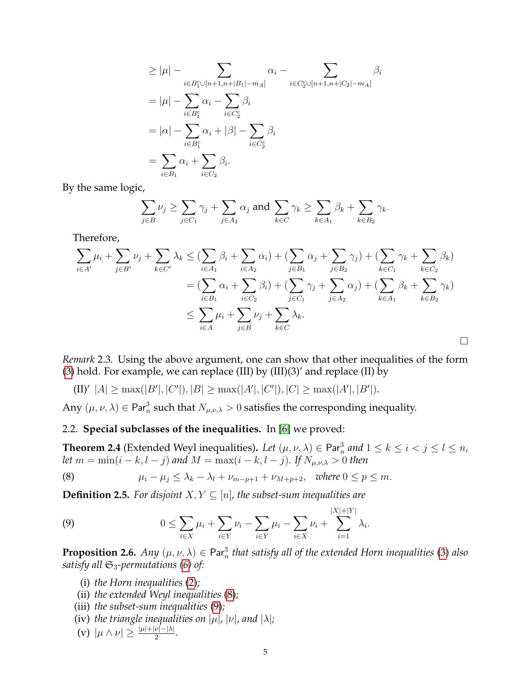$$
\geq |\mu| - \sum_{i \in B_1^c \cup [n+1, n+|B_1| - m_A]} \alpha_i - \sum_{i \in C_2^c \cup [n+1, n+|C_2| - m_A]} \beta_i
$$
  
\n
$$
= |\mu| - \sum_{i \in B_1^c} \alpha_i - \sum_{i \in C_2^c} \beta_i
$$
  
\n
$$
= |\alpha| - \sum_{i \in B_1^c} \alpha_i + |\beta| - \sum_{i \in C_2^c} \beta_i
$$
  
\n
$$
= \sum_{i \in B_1} \alpha_i + \sum_{i \in C_2} \beta_i.
$$

By the same logic,

$$
\sum_{j\in B}\nu_j\geq \sum_{j\in C_1}\gamma_j+\sum_{j\in A_2}\alpha_j \text{ and } \sum_{k\in C}\gamma_k\geq \sum_{k\in A_1}\beta_k+\sum_{k\in B_2}\gamma_k.
$$

Therefore,

$$
\sum_{i \in A'} \mu_i + \sum_{j \in B'} \nu_j + \sum_{k \in C'} \lambda_k \leq (\sum_{i \in A_1} \beta_i + \sum_{i \in A_2} \alpha_i) + (\sum_{j \in B_1} \alpha_j + \sum_{j \in B_2} \gamma_j) + (\sum_{k \in C_1} \gamma_k + \sum_{k \in C_2} \beta_k)
$$
  
= 
$$
(\sum_{i \in B_1} \alpha_i + \sum_{i \in C_2} \beta_i) + (\sum_{j \in C_1} \gamma_j + \sum_{j \in A_2} \alpha_j) + (\sum_{k \in A_1} \beta_k + \sum_{k \in B_2} \gamma_k)
$$
  

$$
\leq \sum_{i \in A} \mu_i + \sum_{j \in B} \nu_j + \sum_{k \in C} \lambda_k.
$$

*Remark* 2.3*.* Using the above argument, one can show that other inequalities of the form [\(3\)](#page-1-1) hold. For example, we can replace (III) by  $(III)(3)'$  and replace (II) by

 $\text{(II)'}\ |A| \ge \max(|B'|, |C'|), |B| \ge \max(|A'|, |C'|), |C| \ge \max(|A'|, |B'|).$ 

Any  $(\mu, \nu, \lambda) \in \mathsf{Par}^3_n$  such that  $N_{\mu,\nu,\lambda} > 0$  satisfies the corresponding inequality.

# 2.2. **Special subclasses of the inequalities.** In [\[6\]](#page-9-0) we proved:

**Theorem 2.4** (Extended Weyl inequalities). Let  $(\mu, \nu, \lambda) \in \text{Par}_n^3$  and  $1 \leq k \leq i < j \leq l \leq n$ , *let*  $m = \min(i - k, l - j)$  and  $M = \max(i - k, l - j)$ . If  $N_{\mu,\nu,\lambda} > 0$  then

<span id="page-4-1"></span>(8) 
$$
\mu_i - \mu_j \leq \lambda_k - \lambda_l + \nu_{m-p+1} + \nu_{M+p+2}, \text{ where } 0 \leq p \leq m.
$$

**Definition 2.5.** For disjoint  $X, Y \subseteq [n]$ , the subset-sum inequalities are

<span id="page-4-2"></span>(9) 
$$
0 \leq \sum_{i \in X} \mu_i + \sum_{i \in Y} \nu_i - \sum_{i \in Y} \mu_i - \sum_{i \in X} \nu_i + \sum_{i=1}^{|X|+|Y|} \lambda_i.
$$

<span id="page-4-0"></span>**Proposition 2.6.** Any  $(\mu, \nu, \lambda) \in \text{Par}_n^3$  that satisfy all of the extended Horn inequalities [\(3\)](#page-1-1) also *satisfy all*  $\mathfrak{S}_3$ -permutations [\(6\)](#page-2-4) of:

- (i) *the Horn inequalities* [\(2\)](#page-0-0)*;*
- (ii) *the extended Weyl inequalities* [\(8\)](#page-4-1)*;*
- (iii) *the subset-sum inequalities* [\(9\)](#page-4-2)*;*
- (iv) *the triangle inequalities on*  $|\mu|$ *,*  $|\nu|$ *, and*  $|\lambda|$ *;*
- (v)  $|\mu \wedge \nu| \geq \frac{|\mu| + |\nu| |\lambda|}{2}$ .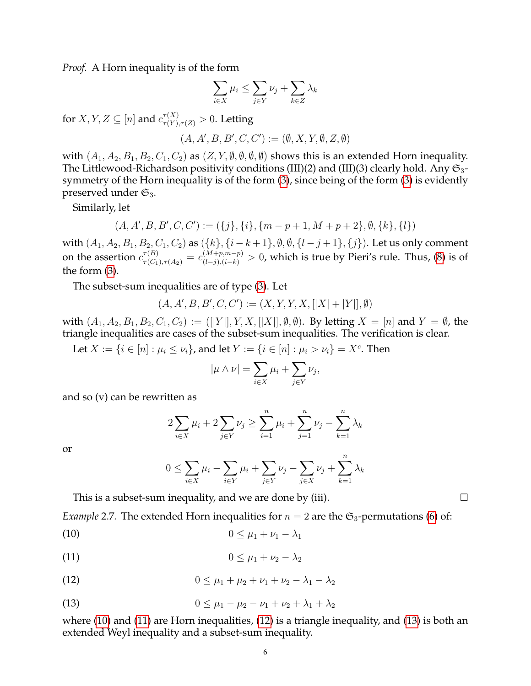*Proof.* A Horn inequality is of the form

$$
\sum_{i \in X} \mu_i \le \sum_{j \in Y} \nu_j + \sum_{k \in Z} \lambda_k
$$

for  $X, Y, Z \subseteq [n]$  and  $c^{\tau(X)}_{\tau(Y), \tau(Z)} > 0$ . Letting

$$
(A, A', B, B', C, C') := (\emptyset, X, Y, \emptyset, Z, \emptyset)
$$

with  $(A_1, A_2, B_1, B_2, C_1, C_2)$  as  $(Z, Y, \emptyset, \emptyset, \emptyset)$  shows this is an extended Horn inequality. The Littlewood-Richardson positivity conditions (III)(2) and (III)(3) clearly hold. Any  $\mathfrak{S}_3$ symmetry of the Horn inequality is of the form [\(3\)](#page-1-1), since being of the form [\(3\)](#page-1-1) is evidently preserved under  $\mathfrak{S}_3$ .

Similarly, let

$$
(A, A', B, B', C, C') := (\{j\}, \{i\}, \{m-p+1, M+p+2\}, \emptyset, \{k\}, \{l\})
$$

with  $(A_1, A_2, B_1, B_2, C_1, C_2)$  as  $({k}, {i-k+1}, \emptyset, \emptyset, {l-j+1}, {j}).$  Let us only comment on the assertion  $c_{\tau(C_1),\tau(A_2)}^{\tau(B)}=c_{(l-j),(i-k)}^{(M+p,m-p)}>0$ , which is true by Pieri's rule. Thus, [\(8\)](#page-4-1) is of the form [\(3\)](#page-1-1).

The subset-sum inequalities are of type [\(3\)](#page-1-1). Let

$$
(A, A', B, B', C, C') := (X, Y, Y, X, [|X| + |Y|], \emptyset)
$$

with  $(A_1, A_2, B_1, B_2, C_1, C_2) := ([[Y]], Y, X, [[X]], \emptyset, \emptyset)$ . By letting  $X = [n]$  and  $Y = \emptyset$ , the triangle inequalities are cases of the subset-sum inequalities. The verification is clear.

Let  $X := \{i \in [n] : \mu_i \le \nu_i\}$ , and let  $Y := \{i \in [n] : \mu_i > \nu_i\} = X^c$ . Then

$$
|\mu \wedge \nu| = \sum_{i \in X} \mu_i + \sum_{j \in Y} \nu_j,
$$

and so (v) can be rewritten as

$$
2\sum_{i\in X}\mu_i + 2\sum_{j\in Y}\nu_j \ge \sum_{i=1}^n \mu_i + \sum_{j=1}^n \nu_j - \sum_{k=1}^n \lambda_k
$$

or

<span id="page-5-2"></span><span id="page-5-1"></span><span id="page-5-0"></span>
$$
0 \le \sum_{i \in X} \mu_i - \sum_{i \in Y} \mu_i + \sum_{j \in Y} \nu_j - \sum_{j \in X} \nu_j + \sum_{k=1}^n \lambda_k
$$

This is a subset-sum inequality, and we are done by (iii).  $\Box$ 

*Example* 2.7. The extended Horn inequalities for  $n = 2$  are the  $\mathfrak{S}_3$ -permutations [\(6\)](#page-2-4) of:

$$
(10) \t\t\t 0 \leq \mu_1 + \nu_1 - \lambda_1
$$

$$
(11) \t\t\t 0 \leq \mu_1 + \nu_2 - \lambda_2
$$

(12) 
$$
0 \leq \mu_1 + \mu_2 + \nu_1 + \nu_2 - \lambda_1 - \lambda_2
$$

<span id="page-5-3"></span>(13) 
$$
0 \leq \mu_1 - \mu_2 - \nu_1 + \nu_2 + \lambda_1 + \lambda_2
$$

where [\(10\)](#page-5-0) and [\(11\)](#page-5-1) are Horn inequalities, [\(12\)](#page-5-2) is a triangle inequality, and [\(13\)](#page-5-3) is both an extended Weyl inequality and a subset-sum inequality.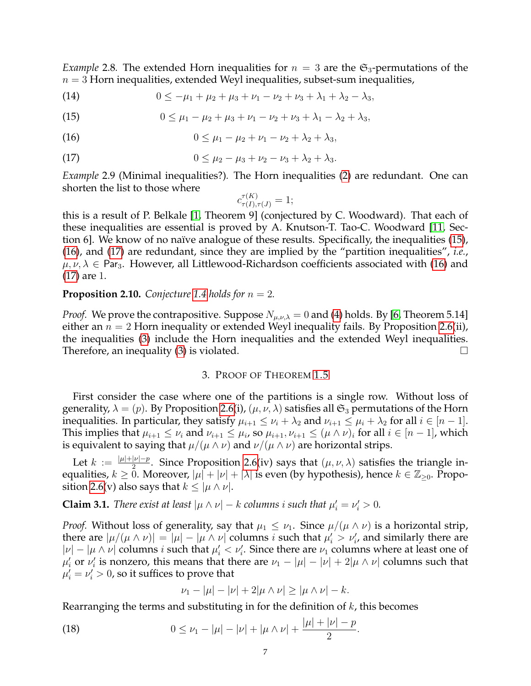*Example* 2.8. The extended Horn inequalities for  $n = 3$  are the  $\mathfrak{S}_3$ -permutations of the  $n = 3$  Horn inequalities, extended Weyl inequalities, subset-sum inequalities,

(14) 
$$
0 \leq -\mu_1 + \mu_2 + \mu_3 + \nu_1 - \nu_2 + \nu_3 + \lambda_1 + \lambda_2 - \lambda_3,
$$

<span id="page-6-1"></span>(15)  $0 \leq \mu_1 - \mu_2 + \mu_3 + \nu_1 - \nu_2 + \nu_3 + \lambda_1 - \lambda_2 + \lambda_3,$ 

(16) 
$$
0 \leq \mu_1 - \mu_2 + \nu_1 - \nu_2 + \lambda_2 + \lambda_3,
$$

(17) 
$$
0 \leq \mu_2 - \mu_3 + \nu_2 - \nu_3 + \lambda_2 + \lambda_3.
$$

*Example* 2.9 (Minimal inequalities?)*.* The Horn inequalities [\(2\)](#page-0-0) are redundant. One can shorten the list to those where

<span id="page-6-3"></span><span id="page-6-2"></span>
$$
c_{\tau(I),\tau(J)}^{\tau(K)} = 1;
$$

this is a result of P. Belkale [\[1,](#page-9-8) Theorem 9] (conjectured by C. Woodward). That each of these inequalities are essential is proved by A. Knutson-T. Tao-C. Woodward [\[11,](#page-10-6) Sec-tion 6]. We know of no naïve analogue of these results. Specifically, the inequalities [\(15\)](#page-6-1), [\(16\)](#page-6-2), and [\(17\)](#page-6-3) are redundant, since they are implied by the "partition inequalities", *i.e.*,  $\mu, \nu, \lambda \in \text{Par}_3$ . However, all Littlewood-Richardson coefficients associated with [\(16\)](#page-6-2) and [\(17\)](#page-6-3) are 1.

# **Proposition 2.10.** *Conjecture* [1.4](#page-1-4) *holds for*  $n = 2$ *.*

*Proof.* We prove the contrapositive. Suppose  $N_{\mu,\nu,\lambda} = 0$  and [\(4\)](#page-1-3) holds. By [\[6,](#page-9-0) Theorem 5.14] either an  $n = 2$  Horn inequality or extended Weyl inequality fails. By Proposition [2.6\(](#page-4-0)ii), the inequalities [\(3\)](#page-1-1) include the Horn inequalities and the extended Weyl inequalities. Therefore, an inequality [\(3\)](#page-1-1) is violated.  $\square$ 

## 3. PROOF OF THEOREM [1.5](#page-2-5)

<span id="page-6-0"></span>First consider the case where one of the partitions is a single row. Without loss of generality,  $\lambda = (p)$ . By Proposition [2.6\(](#page-4-0)i),  $(\mu, \nu, \lambda)$  satisfies all  $\mathfrak{S}_3$  permutations of the Horn inequalities. In particular, they satisfy  $\mu_{i+1} \leq \nu_i + \lambda_2$  and  $\nu_{i+1} \leq \mu_i + \lambda_2$  for all  $i \in [n-1]$ . This implies that  $\mu_{i+1} \leq \nu_i$  and  $\nu_{i+1} \leq \mu_i$ , so  $\mu_{i+1}, \nu_{i+1} \leq (\mu \wedge \nu)_i$  for all  $i \in [n-1]$ , which is equivalent to saying that  $\mu/(\mu \wedge \nu)$  and  $\nu/(\mu \wedge \nu)$  are horizontal strips.

Let  $k := \frac{|\mu| + |\nu| - p}{2}$  $\frac{|\nu| - p}{2}$ . Since Proposition [2.6\(](#page-4-0)iv) says that  $(\mu, \nu, \lambda)$  satisfies the triangle inequalities,  $k\geq 0$ . Moreover,  $|\mu|+|\nu|+|\lambda|$  is even (by hypothesis), hence  $k\in\mathbb{Z}_{\geq 0}$ . Propo-sition [2.6\(](#page-4-0)v) also says that  $k \leq |\mu \wedge \nu|$ .

**Claim 3.1.** *There exist at least*  $|\mu \wedge \nu| - k$  *columns i such that*  $\mu'_i = \nu'_i > 0$ *.* 

*Proof.* Without loss of generality, say that  $\mu_1 \leq \nu_1$ . Since  $\mu/(\mu \wedge \nu)$  is a horizontal strip, there are  $|\mu/(\mu \wedge \nu)| = |\mu| - |\mu \wedge \nu|$  columns *i* such that  $\mu'_i > \nu'_i$ , and similarly there are  $|\nu| - |\mu \wedge \nu|$  columns *i* such that  $\mu'_i < \nu'_i$ . Since there are  $\nu_1$  columns where at least one of  $\mu'_i$  or  $\nu'_i$  is nonzero, this means that there are  $\nu_1 - |\mu| - |\nu| + 2|\mu \wedge \nu|$  columns such that  $\mu'_i = \nu'_i > 0$ , so it suffices to prove that

<span id="page-6-4"></span>
$$
\nu_1 - |\mu| - |\nu| + 2|\mu \wedge \nu| \ge |\mu \wedge \nu| - k.
$$

Rearranging the terms and substituting in for the definition of  $k$ , this becomes

(18) 
$$
0 \leq \nu_1 - |\mu| - |\nu| + |\mu \wedge \nu| + \frac{|\mu| + |\nu| - p}{2}.
$$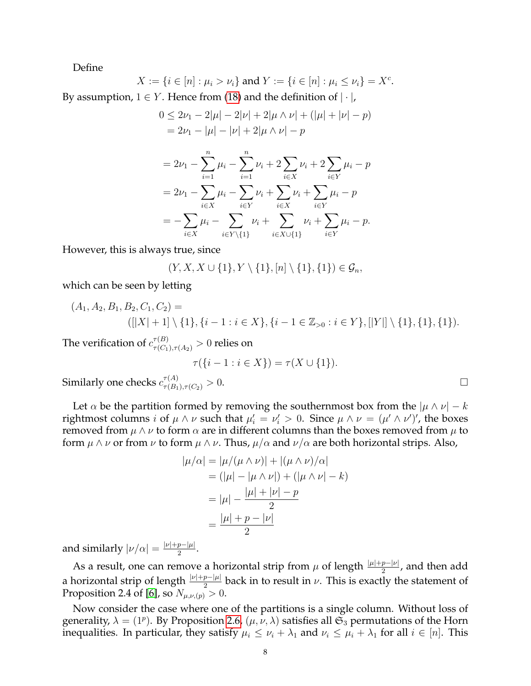Define

 $X := \{i \in [n] : \mu_i > \nu_i\}$  and  $Y := \{i \in [n] : \mu_i \le \nu_i\} = X^c$ . By assumption,  $1 \in Y$ . Hence from [\(18\)](#page-6-4) and the definition of  $|\cdot|$ ,

$$
0 \le 2\nu_1 - 2|\mu| - 2|\nu| + 2|\mu \wedge \nu| + (|\mu| + |\nu| - p)
$$
  
=  $2\nu_1 - |\mu| - |\nu| + 2|\mu \wedge \nu| - p$ 

$$
= 2\nu_1 - \sum_{i=1}^n \mu_i - \sum_{i=1}^n \nu_i + 2 \sum_{i \in X} \nu_i + 2 \sum_{i \in Y} \mu_i - p
$$
  
=  $2\nu_1 - \sum_{i \in X} \mu_i - \sum_{i \in Y} \nu_i + \sum_{i \in X} \nu_i + \sum_{i \in Y} \mu_i - p$   
=  $-\sum_{i \in X} \mu_i - \sum_{i \in Y \setminus \{1\}} \nu_i + \sum_{i \in X \cup \{1\}} \nu_i + \sum_{i \in Y} \mu_i - p.$ 

However, this is always true, since

$$
(Y, X, X \cup \{1\}, Y \setminus \{1\}, [n] \setminus \{1\}, \{1\}) \in \mathcal{G}_n,
$$

which can be seen by letting

$$
(A_1, A_2, B_1, B_2, C_1, C_2) =
$$
  
([|X| + 1] \ \{1\}, \{i - 1 : i \in X\}, \{i - 1 \in \mathbb{Z}\_{>0} : i \in Y\}, [|Y|] \ \{1\}, \{1\}, \{1\}).

The verification of  $c^{\tau(B)}_{\tau(C_1),\tau(A_2)}>0$  relies on

$$
\tau(\{i-1 : i \in X\}) = \tau(X \cup \{1\}).
$$

Similarly one checks  $c^{\tau(A)}_{\tau(B_1),\tau(C_2)} > 0$ .

Let  $\alpha$  be the partition formed by removing the southernmost box from the  $|\mu \wedge \nu| - k$ rightmost columns *i* of  $\mu \wedge \nu$  such that  $\mu'_i = \nu'_i > 0$ . Since  $\mu \wedge \nu = (\mu' \wedge \nu')'$ , the boxes removed from  $\mu \wedge \nu$  to form  $\alpha$  are in different columns than the boxes removed from  $\mu$  to form  $\mu \wedge \nu$  or from  $\nu$  to form  $\mu \wedge \nu$ . Thus,  $\mu/\alpha$  and  $\nu/\alpha$  are both horizontal strips. Also,

$$
|\mu/\alpha| = |\mu/(\mu \wedge \nu)| + |(\mu \wedge \nu)/\alpha|
$$
  
= (|\mu| - |\mu \wedge \nu|) + (|\mu \wedge \nu| - k)  
= |\mu| - \frac{|\mu| + |\nu| - p}{2}  
= \frac{|\mu| + p - |\nu|}{2}

and similarly  $|\nu/\alpha| = \frac{|\nu| + p - |\mu|}{2}$  $\frac{p-|\mu|}{2}$ .

As a result, one can remove a horizontal strip from  $\mu$  of length  $\frac{|\mu|+p-|\nu|}{2}$ , and then add a horizontal strip of length  $\frac{|\nu|+p-|\mu|}{2}$  back in to result in  $\nu$ . This is exactly the statement of Proposition 2.4 of [\[6\]](#page-9-0), so  $N_{\mu,\nu,(p)}>0$ .

Now consider the case where one of the partitions is a single column. Without loss of generality,  $\lambda = (1^p)$ . By Proposition [2.6,](#page-4-0)  $(\mu, \nu, \lambda)$  satisfies all  $\mathfrak{S}_3$  permutations of the Horn inequalities. In particular, they satisfy  $\mu_i \leq \nu_i + \lambda_1$  and  $\nu_i \leq \mu_i + \lambda_1$  for all  $i \in [n]$ . This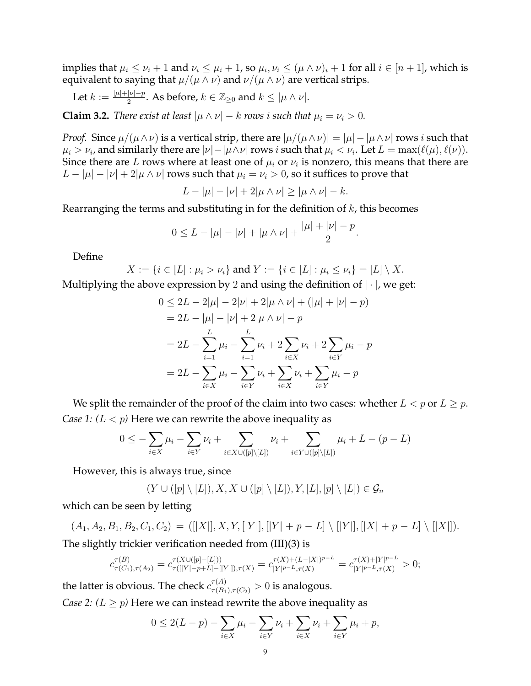implies that  $\mu_i \leq \nu_i + 1$  and  $\nu_i \leq \mu_i + 1$ , so  $\mu_i, \nu_i \leq (\mu \wedge \nu)_i + 1$  for all  $i \in [n + 1]$ , which is equivalent to saying that  $\mu/(\mu \wedge \nu)$  and  $\nu/(\mu \wedge \nu)$  are vertical strips.

Let  $k := \frac{|\mu| + |\nu| - p}{2}$  $\frac{|\nu|-p}{2}$ . As before,  $k\in\mathbb{Z}_{\geq 0}$  and  $k\leq |\mu\wedge\nu|.$ 

**Claim 3.2.** *There exist at least*  $|\mu \wedge \nu| - k$  *rows i such that*  $\mu_i = \nu_i > 0$ *.* 

*Proof.* Since  $\mu/(\mu \wedge \nu)$  is a vertical strip, there are  $|\mu/(\mu \wedge \nu)| = |\mu| - |\mu \wedge \nu|$  rows *i* such that  $\mu_i > \nu_i$ , and similarly there are  $|\nu| - |\mu \wedge \nu|$  rows  $i$  such that  $\mu_i < \nu_i$ . Let  $L = \max(\ell(\mu), \ell(\nu)).$ Since there are L rows where at least one of  $\mu_i$  or  $\nu_i$  is nonzero, this means that there are  $L - |\mu| - |\nu| + 2|\mu \wedge \nu|$  rows such that  $\mu_i = \nu_i > 0$ , so it suffices to prove that

$$
L - |\mu| - |\nu| + 2|\mu \wedge \nu| \ge |\mu \wedge \nu| - k.
$$

Rearranging the terms and substituting in for the definition of  $k$ , this becomes

$$
0 \le L - |\mu| - |\nu| + |\mu \wedge \nu| + \frac{|\mu| + |\nu| - p}{2}.
$$

Define

$$
X := \{i \in [L] : \mu_i > \nu_i\} \text{ and } Y := \{i \in [L] : \mu_i \le \nu_i\} = [L] \setminus X.
$$

Multiplying the above expression by 2 and using the definition of  $|\cdot|$ , we get:

$$
0 \le 2L - 2|\mu| - 2|\nu| + 2|\mu \wedge \nu| + (|\mu| + |\nu| - p)
$$
  
= 2L - |\mu| - |\nu| + 2|\mu \wedge \nu| - p  
= 2L - \sum\_{i=1}^{L} \mu\_i - \sum\_{i=1}^{L} \nu\_i + 2\sum\_{i \in X} \nu\_i + 2\sum\_{i \in Y} \mu\_i - p  
= 2L - \sum\_{i \in X} \mu\_i - \sum\_{i \in Y} \nu\_i + \sum\_{i \in X} \nu\_i + \sum\_{i \in Y} \mu\_i - p

We split the remainder of the proof of the claim into two cases: whether  $L < p$  or  $L \geq p$ . *Case 1:*  $(L < p)$  Here we can rewrite the above inequality as

$$
0 \leq -\sum_{i \in X} \mu_i - \sum_{i \in Y} \nu_i + \sum_{i \in X \cup ([p] \setminus [L])} \nu_i + \sum_{i \in Y \cup ([p] \setminus [L])} \mu_i + L - (p - L)
$$

However, this is always true, since

$$
(Y \cup ([p] \setminus [L]), X, X \cup ([p] \setminus [L]), Y, [L], [p] \setminus [L]) \in \mathcal{G}_n
$$

which can be seen by letting

 $(A_1, A_2, B_1, B_2, C_1, C_2) = ([[X]], X, Y, [[Y]], [[Y] + p - L] \setminus [[Y]], [[X] + p - L] \setminus [[X]]).$ The slightly trickier verification needed from (III)(3) is

$$
c_{\tau(C_1),\tau(A_2)}^{\tau(B)} = c_{\tau([|Y|-p+L]-[|Y|]),\tau(X)}^{\tau(X\cup([p]-[L]))} = c_{|Y|^{p-L},\tau(X)}^{\tau(X)+(L-|X|)^{p-L}} = c_{|Y|^{p-L},\tau(X)}^{\tau(X)+|Y|^{p-L}} > 0;
$$

the latter is obvious. The check  $c^{\tau(A)}_{\tau(B_1),\tau(C_2)}>0$  is analogous. *Case 2: (L*  $\geq$  *p)* Here we can instead rewrite the above inequality as

$$
0 \le 2(L - p) - \sum_{i \in X} \mu_i - \sum_{i \in Y} \nu_i + \sum_{i \in X} \nu_i + \sum_{i \in Y} \mu_i + p,
$$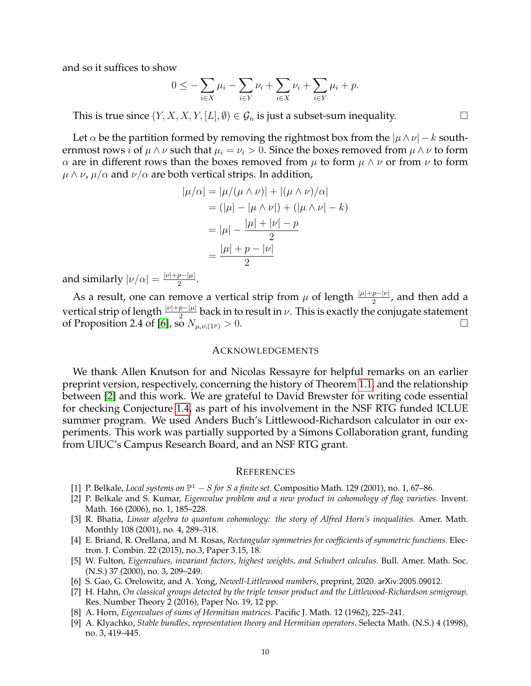and so it suffices to show

$$
0 \le -\sum_{i \in X} \mu_i - \sum_{i \in Y} \nu_i + \sum_{i \in X} \nu_i + \sum_{i \in Y} \mu_i + p.
$$

This is true since  $(Y, X, X, Y, [L], \emptyset) \in \mathcal{G}_n$  is just a subset-sum inequality.

Let  $\alpha$  be the partition formed by removing the rightmost box from the  $|\mu \wedge \nu| - k$  southernmost rows *i* of  $\mu \wedge \nu$  such that  $\mu_i = \nu_i > 0$ . Since the boxes removed from  $\mu \wedge \nu$  to form α are in different rows than the boxes removed from  $\mu$  to form  $\mu \wedge \nu$  or from  $\nu$  to form  $\mu \wedge \nu$ ,  $\mu/\alpha$  and  $\nu/\alpha$  are both vertical strips. In addition,

$$
|\mu/\alpha| = |\mu/(\mu \wedge \nu)| + |(\mu \wedge \nu)/\alpha|
$$
  
= (|\mu| - |\mu \wedge \nu|) + (|\mu \wedge \nu| - k)  
= |\mu| - \frac{|\mu| + |\nu| - p}{2}  
= \frac{|\mu| + p - |\nu|}{2}

and similarly  $|\nu/\alpha| = \frac{|\nu| + p - |\mu|}{2}$  $\frac{p-|\mu|}{2}$ .

As a result, one can remove a vertical strip from  $\mu$  of length  $\frac{|\mu|+p-|\nu|}{2}$ , and then add a vertical strip of length  $\frac{|\nu|+p-|\mu|}{2}$  back in to result in  $\nu$ . This is exactly the conjugate statement of Proposition 2.4 of [\[6\]](#page-9-0), so  $N_{\mu,\nu,(1^p)} > 0$ .

#### ACKNOWLEDGEMENTS

We thank Allen Knutson for and Nicolas Ressayre for helpful remarks on an earlier preprint version, respectively, concerning the history of Theorem [1.1,](#page-0-2) and the relationship between [\[2\]](#page-9-6) and this work. We are grateful to David Brewster for writing code essential for checking Conjecture [1.4,](#page-1-4) as part of his involvement in the NSF RTG funded ICLUE summer program. We used Anders Buch's Littlewood-Richardson calculator in our experiments. This work was partially supported by a Simons Collaboration grant, funding from UIUC's Campus Research Board, and an NSF RTG grant.

### **REFERENCES**

- <span id="page-9-8"></span>[1] P. Belkale, *Local systems on*  $\mathbb{P}^1 - S$  *for S a finite set*. Compositio Math. 129 (2001), no. 1, 67–86.
- <span id="page-9-6"></span>[2] P. Belkale and S. Kumar, *Eigenvalue problem and a new product in cohomology of flag varieties.* Invent. Math. 166 (2006), no. 1, 185–228.
- <span id="page-9-5"></span>[3] R. Bhatia, *Linear algebra to quantum cohomology: the story of Alfred Horn's inequalities.* Amer. Math. Monthly 108 (2001), no. 4, 289–318.
- <span id="page-9-7"></span>[4] E. Briand, R. Orellana, and M. Rosas, *Rectangular symmetries for coefficients of symmetric functions.* Electron. J. Combin. 22 (2015), no.3, Paper 3.15, 18.
- <span id="page-9-4"></span>[5] W. Fulton, *Eigenvalues, invariant factors, highest weights, and Schubert calculus.* Bull. Amer. Math. Soc. (N.S.) 37 (2000), no. 3, 209–249.
- <span id="page-9-0"></span>[6] S. Gao, G. Orelowitz, and A. Yong, *Newell-Littlewood numbers*, preprint, 2020. arXiv:2005.09012.
- <span id="page-9-1"></span>[7] H. Hahn, *On classical groups detected by the triple tensor product and the Littlewood-Richardson semigroup.* Res. Number Theory 2 (2016), Paper No. 19, 12 pp.
- <span id="page-9-3"></span>[8] A. Horn, *Eigenvalues of sums of Hermitian matrices.* Pacific J. Math. 12 (1962), 225–241.
- <span id="page-9-2"></span>[9] A. Klyachko, *Stable bundles, representation theory and Hermitian operators.* Selecta Math. (N.S.) 4 (1998), no. 3, 419–445.